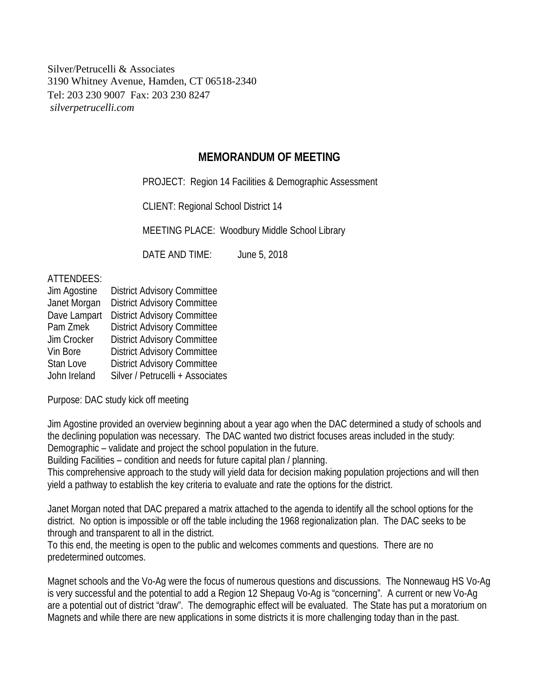Silver/Petrucelli & Associates 3190 Whitney Avenue, Hamden, CT 06518-2340 Tel: 203 230 9007 Fax: 203 230 8247 *silverpetrucelli.com*

## **MEMORANDUM OF MEETING**

PROJECT: Region 14 Facilities & Demographic Assessment

CLIENT: Regional School District 14

MEETING PLACE: Woodbury Middle School Library

DATE AND TIME: June 5, 2018

## ATTENDEES:

| Jim Agostine | <b>District Advisory Committee</b> |
|--------------|------------------------------------|
| Janet Morgan | <b>District Advisory Committee</b> |
| Dave Lampart | <b>District Advisory Committee</b> |
| Pam Zmek     | <b>District Advisory Committee</b> |
| Jim Crocker  | <b>District Advisory Committee</b> |
| Vin Bore     | <b>District Advisory Committee</b> |
| Stan Love    | <b>District Advisory Committee</b> |
| John Ireland | Silver / Petrucelli + Associates   |

Purpose: DAC study kick off meeting

Jim Agostine provided an overview beginning about a year ago when the DAC determined a study of schools and the declining population was necessary. The DAC wanted two district focuses areas included in the study: Demographic – validate and project the school population in the future.

Building Facilities – condition and needs for future capital plan / planning.

This comprehensive approach to the study will yield data for decision making population projections and will then yield a pathway to establish the key criteria to evaluate and rate the options for the district.

Janet Morgan noted that DAC prepared a matrix attached to the agenda to identify all the school options for the district. No option is impossible or off the table including the 1968 regionalization plan. The DAC seeks to be through and transparent to all in the district.

To this end, the meeting is open to the public and welcomes comments and questions. There are no predetermined outcomes.

Magnet schools and the Vo-Ag were the focus of numerous questions and discussions. The Nonnewaug HS Vo-Ag is very successful and the potential to add a Region 12 Shepaug Vo-Ag is "concerning". A current or new Vo-Ag are a potential out of district "draw". The demographic effect will be evaluated. The State has put a moratorium on Magnets and while there are new applications in some districts it is more challenging today than in the past.